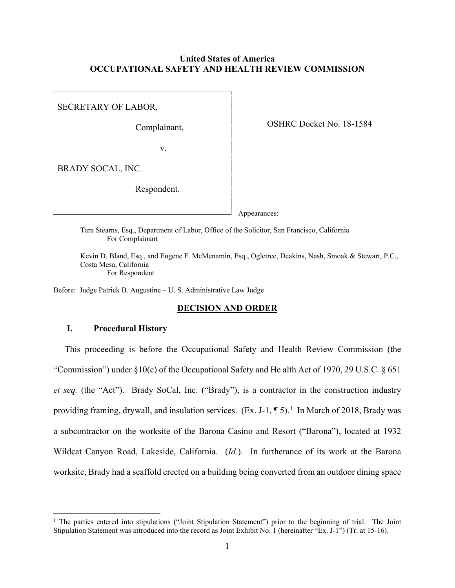## **United States of America OCCUPATIONAL SAFETY AND HEALTH REVIEW COMMISSION**

SECRETARY OF LABOR,

Complainant,

OSHRC Docket No. 18-1584

v.

BRADY SOCAL, INC.

Respondent.

Appearances:

Tara Stearns, Esq., Department of Labor, Office of the Solicitor, San Francisco, California For Complainant

Kevin D. Bland, Esq., and Eugene F. McMenamin, Esq., Ogletree, Deakins, Nash, Smoak & Stewart, P.C., Costa Mesa, California For Respondent

Before: Judge Patrick B. Augustine – U. S. Administrative Law Judge

### **DECISION AND ORDER**

# **I. Procedural History**

 This proceeding is before the Occupational Safety and Health Review Commission (the "Commission") under  $\S 10(c)$  of the Occupational Safety and He alth Act of 1970, 29 U.S.C.  $\S 651$ *et seq.* (the "Act"). Brady SoCal, Inc. ("Brady"), is a contractor in the construction industry providing framing, drywall, and insulation services. (Ex. J-[1](#page-0-0),  $\P$  5).<sup>1</sup> In March of 2018, Brady was a subcontractor on the worksite of the Barona Casino and Resort ("Barona"), located at 1932 Wildcat Canyon Road, Lakeside, California. (*Id.*). In furtherance of its work at the Barona worksite, Brady had a scaffold erected on a building being converted from an outdoor dining space

<span id="page-0-0"></span><sup>&</sup>lt;sup>1</sup> The parties entered into stipulations ("Joint Stipulation Statement") prior to the beginning of trial. The Joint Stipulation Statement was introduced into the record as Joint Exhibit No. 1 (hereinafter "Ex. J-1") (Tr. at 15-16).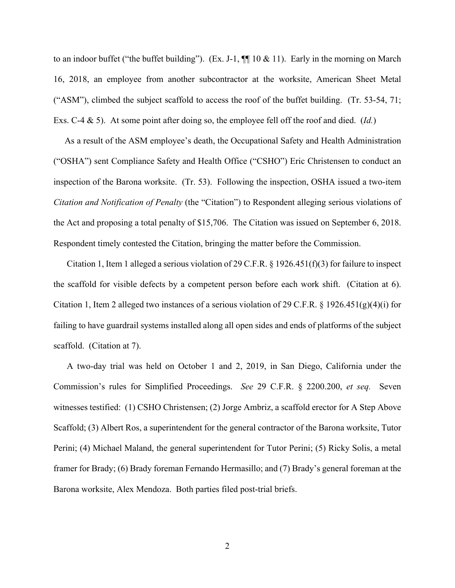to an indoor buffet ("the buffet building"). (Ex. J-1,  $\P\P$  10 & 11). Early in the morning on March 16, 2018, an employee from another subcontractor at the worksite, American Sheet Metal ("ASM"), climbed the subject scaffold to access the roof of the buffet building. (Tr. 53-54, 71; Exs. C-4 & 5). At some point after doing so, the employee fell off the roof and died. (*Id.*)

 As a result of the ASM employee's death, the Occupational Safety and Health Administration ("OSHA") sent Compliance Safety and Health Office ("CSHO") Eric Christensen to conduct an inspection of the Barona worksite. (Tr. 53). Following the inspection, OSHA issued a two-item *Citation and Notification of Penalty* (the "Citation") to Respondent alleging serious violations of the Act and proposing a total penalty of \$15,706. The Citation was issued on September 6, 2018. Respondent timely contested the Citation, bringing the matter before the Commission.

Citation 1, Item 1 alleged a serious violation of 29 C.F.R. § 1926.451(f)(3) for failure to inspect the scaffold for visible defects by a competent person before each work shift. (Citation at 6). Citation 1, Item 2 alleged two instances of a serious violation of 29 C.F.R. § 1926.451(g)(4)(i) for failing to have guardrail systems installed along all open sides and ends of platforms of the subject scaffold. (Citation at 7).

A two-day trial was held on October 1 and 2, 2019, in San Diego, California under the Commission's rules for Simplified Proceedings. *See* 29 C.F.R. § 2200.200, *et seq.* Seven witnesses testified: (1) CSHO Christensen; (2) Jorge Ambriz, a scaffold erector for A Step Above Scaffold; (3) Albert Ros, a superintendent for the general contractor of the Barona worksite, Tutor Perini; (4) Michael Maland, the general superintendent for Tutor Perini; (5) Ricky Solis, a metal framer for Brady; (6) Brady foreman Fernando Hermasillo; and (7) Brady's general foreman at the Barona worksite, Alex Mendoza. Both parties filed post-trial briefs.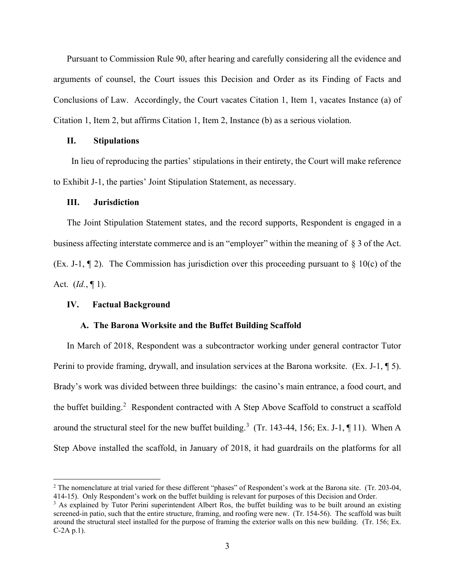Pursuant to Commission Rule 90, after hearing and carefully considering all the evidence and arguments of counsel, the Court issues this Decision and Order as its Finding of Facts and Conclusions of Law. Accordingly, the Court vacates Citation 1, Item 1, vacates Instance (a) of Citation 1, Item 2, but affirms Citation 1, Item 2, Instance (b) as a serious violation.

## **II. Stipulations**

 In lieu of reproducing the parties' stipulations in their entirety, the Court will make reference to Exhibit J-1, the parties' Joint Stipulation Statement, as necessary.

### **III. Jurisdiction**

The Joint Stipulation Statement states, and the record supports, Respondent is engaged in a business affecting interstate commerce and is an "employer" within the meaning of § 3 of the Act. (Ex. J-1,  $\P$  2). The Commission has jurisdiction over this proceeding pursuant to  $\S$  10(c) of the Act. (*Id.*, ¶ 1).

#### **IV. Factual Background**

# **A. The Barona Worksite and the Buffet Building Scaffold**

In March of 2018, Respondent was a subcontractor working under general contractor Tutor Perini to provide framing, drywall, and insulation services at the Barona worksite. (Ex. J-1,  $\P$  5). Brady's work was divided between three buildings: the casino's main entrance, a food court, and the buffet building.<sup>[2](#page-2-0)</sup> Respondent contracted with A Step Above Scaffold to construct a scaffold around the structural steel for the new buffet building.<sup>[3](#page-2-1)</sup> (Tr. 143-44, 156; Ex. J-1,  $\P$  11). When A Step Above installed the scaffold, in January of 2018, it had guardrails on the platforms for all

<span id="page-2-0"></span><sup>&</sup>lt;sup>2</sup> The nomenclature at trial varied for these different "phases" of Respondent's work at the Barona site. (Tr. 203-04, 414-15). Only Respondent's work on the buffet building is relevant for purposes of this Decision and Order.

<span id="page-2-1"></span><sup>&</sup>lt;sup>3</sup> As explained by Tutor Perini superintendent Albert Ros, the buffet building was to be built around an existing screened-in patio, such that the entire structure, framing, and roofing were new. (Tr. 154-56). The scaffold was built around the structural steel installed for the purpose of framing the exterior walls on this new building. (Tr. 156; Ex. C-2A p.1).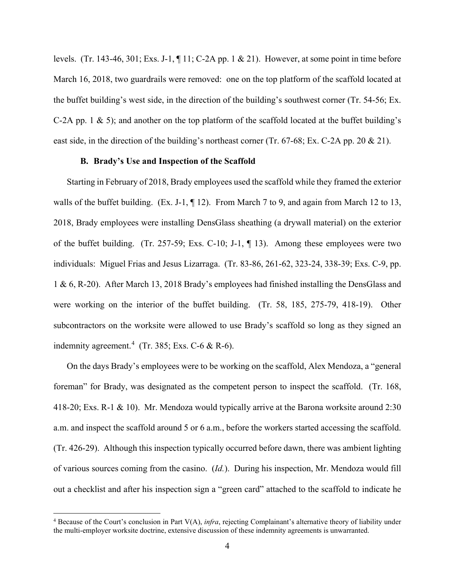levels. (Tr. 143-46, 301; Exs. J-1, ¶ 11; C-2A pp. 1 & 21). However, at some point in time before March 16, 2018, two guardrails were removed: one on the top platform of the scaffold located at the buffet building's west side, in the direction of the building's southwest corner (Tr. 54-56; Ex. C-2A pp. 1 & 5); and another on the top platform of the scaffold located at the buffet building's east side, in the direction of the building's northeast corner (Tr. 67-68; Ex. C-2A pp. 20  $\&$  21).

## **B. Brady's Use and Inspection of the Scaffold**

Starting in February of 2018, Brady employees used the scaffold while they framed the exterior walls of the buffet building.  $(Ex. J-1, \P 12)$ . From March 7 to 9, and again from March 12 to 13, 2018, Brady employees were installing DensGlass sheathing (a drywall material) on the exterior of the buffet building. (Tr. 257-59; Exs. C-10; J-1, ¶ 13). Among these employees were two individuals: Miguel Frias and Jesus Lizarraga. (Tr. 83-86, 261-62, 323-24, 338-39; Exs. C-9, pp. 1 & 6, R-20). After March 13, 2018 Brady's employees had finished installing the DensGlass and were working on the interior of the buffet building. (Tr. 58, 185, 275-79, 418-19). Other subcontractors on the worksite were allowed to use Brady's scaffold so long as they signed an indemnity agreement.<sup>[4](#page-3-0)</sup> (Tr. 385; Exs. C-6 & R-6).

On the days Brady's employees were to be working on the scaffold, Alex Mendoza, a "general foreman" for Brady, was designated as the competent person to inspect the scaffold. (Tr. 168, 418-20; Exs. R-1 & 10). Mr. Mendoza would typically arrive at the Barona worksite around 2:30 a.m. and inspect the scaffold around 5 or 6 a.m., before the workers started accessing the scaffold. (Tr. 426-29). Although this inspection typically occurred before dawn, there was ambient lighting of various sources coming from the casino. (*Id.*). During his inspection, Mr. Mendoza would fill out a checklist and after his inspection sign a "green card" attached to the scaffold to indicate he

<span id="page-3-0"></span><sup>4</sup> Because of the Court's conclusion in Part V(A), *infra*, rejecting Complainant's alternative theory of liability under the multi-employer worksite doctrine, extensive discussion of these indemnity agreements is unwarranted.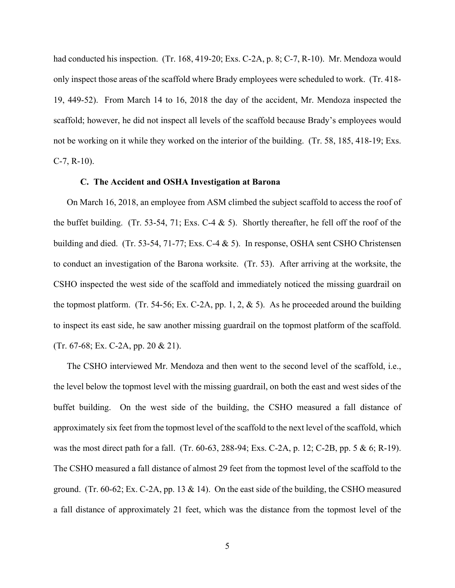had conducted his inspection. (Tr. 168, 419-20; Exs. C-2A, p. 8; C-7, R-10). Mr. Mendoza would only inspect those areas of the scaffold where Brady employees were scheduled to work. (Tr. 418- 19, 449-52). From March 14 to 16, 2018 the day of the accident, Mr. Mendoza inspected the scaffold; however, he did not inspect all levels of the scaffold because Brady's employees would not be working on it while they worked on the interior of the building. (Tr. 58, 185, 418-19; Exs.  $C-7$ ,  $R-10$ ).

#### **C. The Accident and OSHA Investigation at Barona**

On March 16, 2018, an employee from ASM climbed the subject scaffold to access the roof of the buffet building. (Tr. 53-54, 71; Exs. C-4  $\&$  5). Shortly thereafter, he fell off the roof of the building and died. (Tr. 53-54, 71-77; Exs. C-4 & 5). In response, OSHA sent CSHO Christensen to conduct an investigation of the Barona worksite. (Tr. 53). After arriving at the worksite, the CSHO inspected the west side of the scaffold and immediately noticed the missing guardrail on the topmost platform. (Tr. 54-56; Ex. C-2A, pp. 1, 2,  $\&$  5). As he proceeded around the building to inspect its east side, he saw another missing guardrail on the topmost platform of the scaffold. (Tr. 67-68; Ex. C-2A, pp. 20 & 21).

The CSHO interviewed Mr. Mendoza and then went to the second level of the scaffold, i.e., the level below the topmost level with the missing guardrail, on both the east and west sides of the buffet building. On the west side of the building, the CSHO measured a fall distance of approximately six feet from the topmost level of the scaffold to the next level of the scaffold, which was the most direct path for a fall. (Tr. 60-63, 288-94; Exs. C-2A, p. 12; C-2B, pp. 5 & 6; R-19). The CSHO measured a fall distance of almost 29 feet from the topmost level of the scaffold to the ground. (Tr. 60-62; Ex. C-2A, pp. 13 & 14). On the east side of the building, the CSHO measured a fall distance of approximately 21 feet, which was the distance from the topmost level of the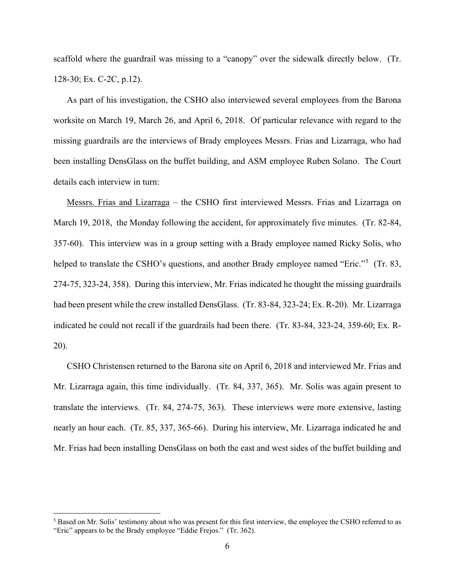scaffold where the guardrail was missing to a "canopy" over the sidewalk directly below. (Tr. 128-30; Ex. C-2C, p.12).

As part of his investigation, the CSHO also interviewed several employees from the Barona worksite on March 19, March 26, and April 6, 2018. Of particular relevance with regard to the missing guardrails are the interviews of Brady employees Messrs. Frias and Lizarraga, who had been installing DensGlass on the buffet building, and ASM employee Ruben Solano. The Court details each interview in turn:

Messrs. Frias and Lizarraga – the CSHO first interviewed Messrs. Frias and Lizarraga on March 19, 2018, the Monday following the accident, for approximately five minutes. (Tr. 82-84, 357-60). This interview was in a group setting with a Brady employee named Ricky Solis, who helped to translate the CSHO's questions, and another Brady employee named "Eric."<sup>[5](#page-5-0)</sup> (Tr. 83, 274-75, 323-24, 358). During this interview, Mr. Frias indicated he thought the missing guardrails had been present while the crew installed DensGlass. (Tr. 83-84, 323-24; Ex. R-20). Mr. Lizarraga indicated he could not recall if the guardrails had been there. (Tr. 83-84, 323-24, 359-60; Ex. R-20).

CSHO Christensen returned to the Barona site on April 6, 2018 and interviewed Mr. Frias and Mr. Lizarraga again, this time individually. (Tr. 84, 337, 365). Mr. Solis was again present to translate the interviews. (Tr. 84, 274-75, 363). These interviews were more extensive, lasting nearly an hour each. (Tr. 85, 337, 365-66). During his interview, Mr. Lizarraga indicated he and Mr. Frias had been installing DensGlass on both the east and west sides of the buffet building and

<span id="page-5-0"></span><sup>&</sup>lt;sup>5</sup> Based on Mr. Solis' testimony about who was present for this first interview, the employee the CSHO referred to as "Eric" appears to be the Brady employee "Eddie Frejos." (Tr. 362).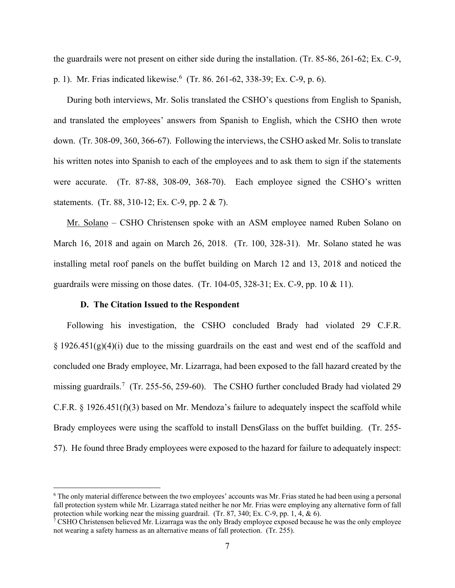the guardrails were not present on either side during the installation. (Tr. 85-86, 261-62; Ex. C-9, p. 1). Mr. Frias indicated likewise.<sup>[6](#page-6-0)</sup> (Tr. 86. 261-62, 338-39; Ex. C-9, p. 6).

During both interviews, Mr. Solis translated the CSHO's questions from English to Spanish, and translated the employees' answers from Spanish to English, which the CSHO then wrote down. (Tr. 308-09, 360, 366-67). Following the interviews, the CSHO asked Mr. Solis to translate his written notes into Spanish to each of the employees and to ask them to sign if the statements were accurate. (Tr. 87-88, 308-09, 368-70). Each employee signed the CSHO's written statements. (Tr. 88, 310-12; Ex. C-9, pp. 2 & 7).

Mr. Solano – CSHO Christensen spoke with an ASM employee named Ruben Solano on March 16, 2018 and again on March 26, 2018. (Tr. 100, 328-31). Mr. Solano stated he was installing metal roof panels on the buffet building on March 12 and 13, 2018 and noticed the guardrails were missing on those dates. (Tr. 104-05, 328-31; Ex. C-9, pp. 10  $\&$  11).

### **D. The Citation Issued to the Respondent**

Following his investigation, the CSHO concluded Brady had violated 29 C.F.R.  $\S 1926.451(g)(4)(i)$  due to the missing guardrails on the east and west end of the scaffold and concluded one Brady employee, Mr. Lizarraga, had been exposed to the fall hazard created by the missing guardrails.<sup>[7](#page-6-1)</sup> (Tr. 255-56, 259-60). The CSHO further concluded Brady had violated 29 C.F.R. § 1926.451(f)(3) based on Mr. Mendoza's failure to adequately inspect the scaffold while Brady employees were using the scaffold to install DensGlass on the buffet building. (Tr. 255- 57). He found three Brady employees were exposed to the hazard for failure to adequately inspect:

<span id="page-6-0"></span><sup>6</sup> The only material difference between the two employees' accounts was Mr. Frias stated he had been using a personal fall protection system while Mr. Lizarraga stated neither he nor Mr. Frias were employing any alternative form of fall protection while working near the missing guardrail. (Tr. 87, 340; Ex. C-9, pp. 1, 4, & 6).

<span id="page-6-1"></span><sup>&</sup>lt;sup>7</sup> CSHO Christensen believed Mr. Lizarraga was the only Brady employee exposed because he was the only employee not wearing a safety harness as an alternative means of fall protection. (Tr. 255).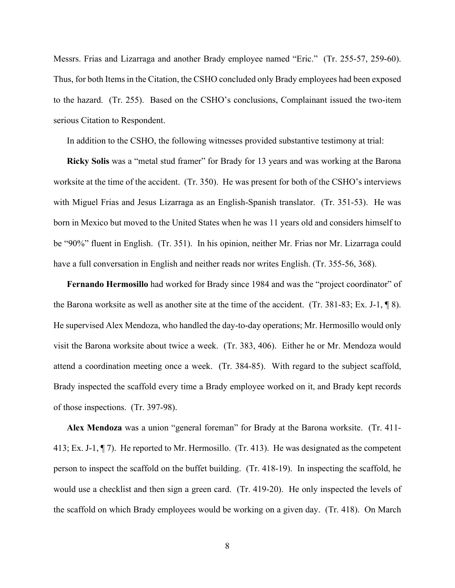Messrs. Frias and Lizarraga and another Brady employee named "Eric." (Tr. 255-57, 259-60). Thus, for both Items in the Citation, the CSHO concluded only Brady employees had been exposed to the hazard. (Tr. 255). Based on the CSHO's conclusions, Complainant issued the two-item serious Citation to Respondent.

In addition to the CSHO, the following witnesses provided substantive testimony at trial:

**Ricky Solis** was a "metal stud framer" for Brady for 13 years and was working at the Barona worksite at the time of the accident. (Tr. 350). He was present for both of the CSHO's interviews with Miguel Frias and Jesus Lizarraga as an English-Spanish translator. (Tr. 351-53). He was born in Mexico but moved to the United States when he was 11 years old and considers himself to be "90%" fluent in English. (Tr. 351). In his opinion, neither Mr. Frias nor Mr. Lizarraga could have a full conversation in English and neither reads nor writes English. (Tr. 355-56, 368).

**Fernando Hermosillo** had worked for Brady since 1984 and was the "project coordinator" of the Barona worksite as well as another site at the time of the accident. (Tr. 381-83; Ex. J-1,  $\P$  8). He supervised Alex Mendoza, who handled the day-to-day operations; Mr. Hermosillo would only visit the Barona worksite about twice a week. (Tr. 383, 406). Either he or Mr. Mendoza would attend a coordination meeting once a week. (Tr. 384-85). With regard to the subject scaffold, Brady inspected the scaffold every time a Brady employee worked on it, and Brady kept records of those inspections. (Tr. 397-98).

**Alex Mendoza** was a union "general foreman" for Brady at the Barona worksite. (Tr. 411- 413; Ex. J-1, ¶ 7). He reported to Mr. Hermosillo. (Tr. 413). He was designated as the competent person to inspect the scaffold on the buffet building. (Tr. 418-19). In inspecting the scaffold, he would use a checklist and then sign a green card. (Tr. 419-20). He only inspected the levels of the scaffold on which Brady employees would be working on a given day. (Tr. 418). On March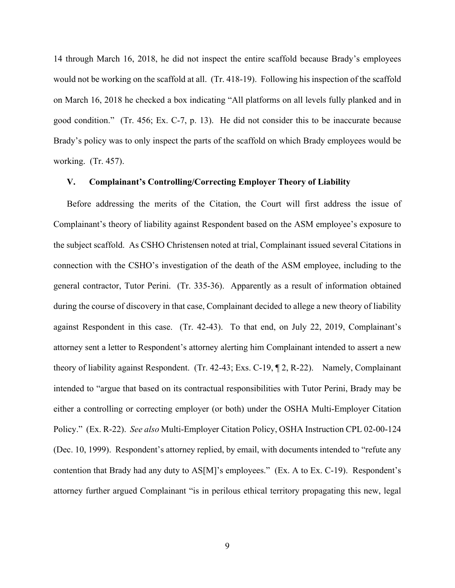14 through March 16, 2018, he did not inspect the entire scaffold because Brady's employees would not be working on the scaffold at all. (Tr. 418-19). Following his inspection of the scaffold on March 16, 2018 he checked a box indicating "All platforms on all levels fully planked and in good condition." (Tr. 456; Ex. C-7, p. 13). He did not consider this to be inaccurate because Brady's policy was to only inspect the parts of the scaffold on which Brady employees would be working. (Tr. 457).

### **V. Complainant's Controlling/Correcting Employer Theory of Liability**

Before addressing the merits of the Citation, the Court will first address the issue of Complainant's theory of liability against Respondent based on the ASM employee's exposure to the subject scaffold. As CSHO Christensen noted at trial, Complainant issued several Citations in connection with the CSHO's investigation of the death of the ASM employee, including to the general contractor, Tutor Perini. (Tr. 335-36). Apparently as a result of information obtained during the course of discovery in that case, Complainant decided to allege a new theory of liability against Respondent in this case. (Tr. 42-43). To that end, on July 22, 2019, Complainant's attorney sent a letter to Respondent's attorney alerting him Complainant intended to assert a new theory of liability against Respondent. (Tr. 42-43; Exs. C-19, ¶ 2, R-22). Namely, Complainant intended to "argue that based on its contractual responsibilities with Tutor Perini, Brady may be either a controlling or correcting employer (or both) under the OSHA Multi-Employer Citation Policy." (Ex. R-22). *See also* Multi-Employer Citation Policy, OSHA Instruction CPL 02-00-124 (Dec. 10, 1999). Respondent's attorney replied, by email, with documents intended to "refute any contention that Brady had any duty to AS[M]'s employees." (Ex. A to Ex. C-19). Respondent's attorney further argued Complainant "is in perilous ethical territory propagating this new, legal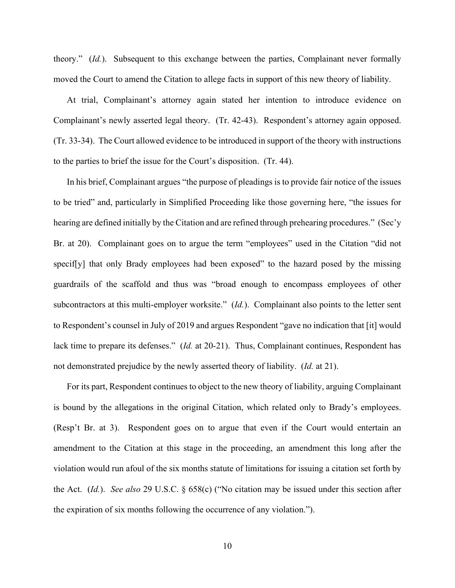theory." (*Id.*). Subsequent to this exchange between the parties, Complainant never formally moved the Court to amend the Citation to allege facts in support of this new theory of liability.

At trial, Complainant's attorney again stated her intention to introduce evidence on Complainant's newly asserted legal theory. (Tr. 42-43). Respondent's attorney again opposed. (Tr. 33-34). The Court allowed evidence to be introduced in support of the theory with instructions to the parties to brief the issue for the Court's disposition. (Tr. 44).

In his brief, Complainant argues "the purpose of pleadings is to provide fair notice of the issues to be tried" and, particularly in Simplified Proceeding like those governing here, "the issues for hearing are defined initially by the Citation and are refined through prehearing procedures." (Sec'y Br. at 20). Complainant goes on to argue the term "employees" used in the Citation "did not specif [y] that only Brady employees had been exposed" to the hazard posed by the missing guardrails of the scaffold and thus was "broad enough to encompass employees of other subcontractors at this multi-employer worksite." (*Id.*). Complainant also points to the letter sent to Respondent's counsel in July of 2019 and argues Respondent "gave no indication that [it] would lack time to prepare its defenses." (*Id.* at 20-21). Thus, Complainant continues, Respondent has not demonstrated prejudice by the newly asserted theory of liability. (*Id.* at 21).

For its part, Respondent continues to object to the new theory of liability, arguing Complainant is bound by the allegations in the original Citation, which related only to Brady's employees. (Resp't Br. at 3). Respondent goes on to argue that even if the Court would entertain an amendment to the Citation at this stage in the proceeding, an amendment this long after the violation would run afoul of the six months statute of limitations for issuing a citation set forth by the Act. (*Id.*). *See also* 29 U.S.C. § 658(c) ("No citation may be issued under this section after the expiration of six months following the occurrence of any violation.").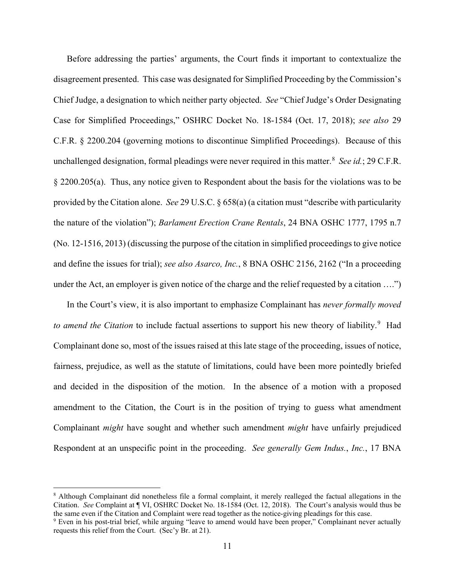Before addressing the parties' arguments, the Court finds it important to contextualize the disagreement presented. This case was designated for Simplified Proceeding by the Commission's Chief Judge, a designation to which neither party objected. *See* "Chief Judge's Order Designating Case for Simplified Proceedings," OSHRC Docket No. 18-1584 (Oct. 17, 2018); *see also* 29 C.F.R. § 2200.204 (governing motions to discontinue Simplified Proceedings). Because of this unchallenged designation, formal pleadings were never required in this matter.<sup>[8](#page-10-0)</sup> See *id.*; 29 C.F.R. § 2200.205(a). Thus, any notice given to Respondent about the basis for the violations was to be provided by the Citation alone. *See* 29 U.S.C. § 658(a) (a citation must "describe with particularity the nature of the violation"); *Barlament Erection Crane Rentals*, 24 BNA OSHC 1777, 1795 n.7 (No. 12-1516, 2013) (discussing the purpose of the citation in simplified proceedings to give notice and define the issues for trial); *see also Asarco, Inc.*, 8 BNA OSHC 2156, 2162 ("In a proceeding under the Act, an employer is given notice of the charge and the relief requested by a citation ….")

In the Court's view, it is also important to emphasize Complainant has *never formally moved*  to amend the Citation to include factual assertions to support his new theory of liability.<sup>[9](#page-10-1)</sup> Had Complainant done so, most of the issues raised at this late stage of the proceeding, issues of notice, fairness, prejudice, as well as the statute of limitations, could have been more pointedly briefed and decided in the disposition of the motion. In the absence of a motion with a proposed amendment to the Citation, the Court is in the position of trying to guess what amendment Complainant *might* have sought and whether such amendment *might* have unfairly prejudiced Respondent at an unspecific point in the proceeding. *See generally Gem Indus.*, *Inc.*, 17 BNA

<span id="page-10-0"></span><sup>8</sup> Although Complainant did nonetheless file a formal complaint, it merely realleged the factual allegations in the Citation. *See* Complaint at ¶ VI, OSHRC Docket No. 18-1584 (Oct. 12, 2018). The Court's analysis would thus be the same even if the Citation and Complaint were read together as the notice-giving pleadings for this case.

<span id="page-10-1"></span><sup>9</sup> Even in his post-trial brief, while arguing "leave to amend would have been proper," Complainant never actually requests this relief from the Court. (Sec'y Br. at 21).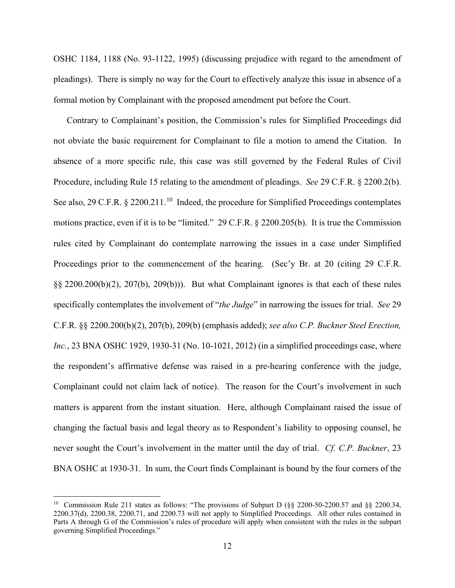OSHC 1184, 1188 (No. 93-1122, 1995) (discussing prejudice with regard to the amendment of pleadings). There is simply no way for the Court to effectively analyze this issue in absence of a formal motion by Complainant with the proposed amendment put before the Court.

Contrary to Complainant's position, the Commission's rules for Simplified Proceedings did not obviate the basic requirement for Complainant to file a motion to amend the Citation. In absence of a more specific rule, this case was still governed by the Federal Rules of Civil Procedure, including Rule 15 relating to the amendment of pleadings. *See* 29 C.F.R. § 2200.2(b). See also, 29 C.F.R. § 2200.211.<sup>[10](#page-11-0)</sup> Indeed, the procedure for Simplified Proceedings contemplates motions practice, even if it is to be "limited." 29 C.F.R. § 2200.205(b). It is true the Commission rules cited by Complainant do contemplate narrowing the issues in a case under Simplified Proceedings prior to the commencement of the hearing. (Sec'y Br. at 20 (citing 29 C.F.R.) §§ 2200.200(b)(2), 207(b), 209(b))). But what Complainant ignores is that each of these rules specifically contemplates the involvement of "*the Judge*" in narrowing the issues for trial. *See* 29 C.F.R. §§ 2200.200(b)(2), 207(b), 209(b) (emphasis added); *see also C.P. Buckner Steel Erection, Inc.*, 23 BNA OSHC 1929, 1930-31 (No. 10-1021, 2012) (in a simplified proceedings case, where the respondent's affirmative defense was raised in a pre-hearing conference with the judge, Complainant could not claim lack of notice). The reason for the Court's involvement in such matters is apparent from the instant situation. Here, although Complainant raised the issue of changing the factual basis and legal theory as to Respondent's liability to opposing counsel, he never sought the Court's involvement in the matter until the day of trial. *Cf. C.P. Buckner*, 23 BNA OSHC at 1930-31. In sum, the Court finds Complainant is bound by the four corners of the

<span id="page-11-0"></span><sup>&</sup>lt;sup>10</sup> Commission Rule 211 states as follows: "The provisions of Subpart D (§§ 2200-50-2200.57 and §§ 2200.34, 2200.37(d), 2200.38, 2200.71, and 2200.73 will not apply to Simplified Proceedings. All other rules contained in Parts A through G of the Commission's rules of procedure will apply when consistent with the rules in the subpart governing Simplified Proceedings."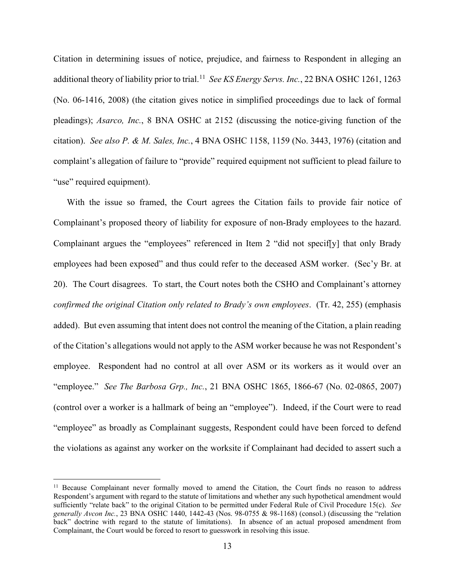Citation in determining issues of notice, prejudice, and fairness to Respondent in alleging an additional theory of liability prior to trial.<sup>[11](#page-12-0)</sup> See KS Energy Servs. Inc., 22 BNA OSHC 1261, 1263 (No. 06-1416, 2008) (the citation gives notice in simplified proceedings due to lack of formal pleadings); *Asarco, Inc.*, 8 BNA OSHC at 2152 (discussing the notice-giving function of the citation). *See also P. & M. Sales, Inc.*, 4 BNA OSHC 1158, 1159 (No. 3443, 1976) (citation and complaint's allegation of failure to "provide" required equipment not sufficient to plead failure to "use" required equipment).

With the issue so framed, the Court agrees the Citation fails to provide fair notice of Complainant's proposed theory of liability for exposure of non-Brady employees to the hazard. Complainant argues the "employees" referenced in Item 2 "did not specif[y] that only Brady employees had been exposed" and thus could refer to the deceased ASM worker. (Sec'y Br. at 20). The Court disagrees. To start, the Court notes both the CSHO and Complainant's attorney *confirmed the original Citation only related to Brady's own employees*. (Tr. 42, 255) (emphasis added). But even assuming that intent does not control the meaning of the Citation, a plain reading of the Citation's allegations would not apply to the ASM worker because he was not Respondent's employee. Respondent had no control at all over ASM or its workers as it would over an "employee." *See The Barbosa Grp., Inc.*, 21 BNA OSHC 1865, 1866-67 (No. 02-0865, 2007) (control over a worker is a hallmark of being an "employee"). Indeed, if the Court were to read "employee" as broadly as Complainant suggests, Respondent could have been forced to defend the violations as against any worker on the worksite if Complainant had decided to assert such a

<span id="page-12-0"></span><sup>&</sup>lt;sup>11</sup> Because Complainant never formally moved to amend the Citation, the Court finds no reason to address Respondent's argument with regard to the statute of limitations and whether any such hypothetical amendment would sufficiently "relate back" to the original Citation to be permitted under Federal Rule of Civil Procedure 15(c). *See generally Avcon Inc.*, 23 BNA OSHC 1440, 1442-43 (Nos. 98-0755 & 98-1168) (consol.) (discussing the "relation back" doctrine with regard to the statute of limitations). In absence of an actual proposed amendment from Complainant, the Court would be forced to resort to guesswork in resolving this issue.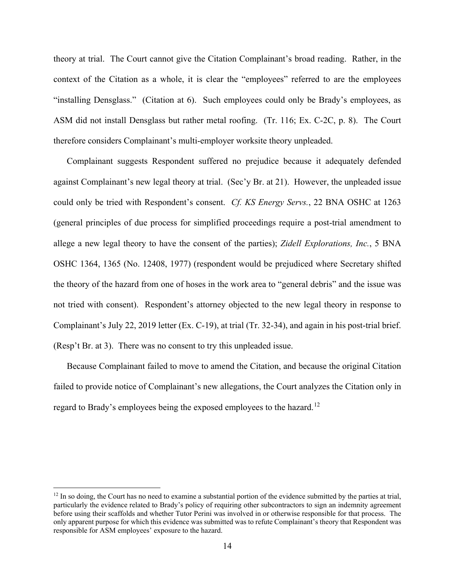theory at trial. The Court cannot give the Citation Complainant's broad reading. Rather, in the context of the Citation as a whole, it is clear the "employees" referred to are the employees "installing Densglass." (Citation at 6). Such employees could only be Brady's employees, as ASM did not install Densglass but rather metal roofing. (Tr. 116; Ex. C-2C, p. 8). The Court therefore considers Complainant's multi-employer worksite theory unpleaded.

Complainant suggests Respondent suffered no prejudice because it adequately defended against Complainant's new legal theory at trial. (Sec'y Br. at 21). However, the unpleaded issue could only be tried with Respondent's consent. *Cf. KS Energy Servs.*, 22 BNA OSHC at 1263 (general principles of due process for simplified proceedings require a post-trial amendment to allege a new legal theory to have the consent of the parties); *Zidell Explorations, Inc.*, 5 BNA OSHC 1364, 1365 (No. 12408, 1977) (respondent would be prejudiced where Secretary shifted the theory of the hazard from one of hoses in the work area to "general debris" and the issue was not tried with consent). Respondent's attorney objected to the new legal theory in response to Complainant's July 22, 2019 letter (Ex. C-19), at trial (Tr. 32-34), and again in his post-trial brief. (Resp't Br. at 3). There was no consent to try this unpleaded issue.

Because Complainant failed to move to amend the Citation, and because the original Citation failed to provide notice of Complainant's new allegations, the Court analyzes the Citation only in regard to Brady's employees being the exposed employees to the hazard.<sup>[12](#page-13-0)</sup>

<span id="page-13-0"></span> $12 \text{ In so doing, the Court has no need to examine a substantial portion of the evidence submitted by the parties at trial,$ particularly the evidence related to Brady's policy of requiring other subcontractors to sign an indemnity agreement before using their scaffolds and whether Tutor Perini was involved in or otherwise responsible for that process. The only apparent purpose for which this evidence was submitted was to refute Complainant's theory that Respondent was responsible for ASM employees' exposure to the hazard.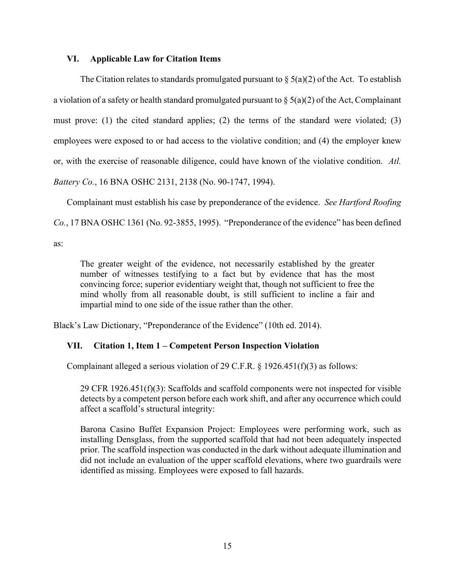# **VI. Applicable Law for Citation Items**

The Citation relates to standards promulgated pursuant to  $\S(5a)(2)$  of the Act. To establish a violation of a safety or health standard promulgated pursuant to  $\S(5a)(2)$  of the Act, Complainant must prove: (1) the cited standard applies; (2) the terms of the standard were violated; (3) employees were exposed to or had access to the violative condition; and (4) the employer knew or, with the exercise of reasonable diligence, could have known of the violative condition. *Atl. Battery Co.*, 16 BNA OSHC 2131, 2138 (No. 90-1747, 1994).

Complainant must establish his case by preponderance of the evidence. *See Hartford Roofing Co.*, 17 BNA OSHC 1361 (No. 92-3855, 1995). "Preponderance of the evidence" has been defined as:

The greater weight of the evidence, not necessarily established by the greater number of witnesses testifying to a fact but by evidence that has the most convincing force; superior evidentiary weight that, though not sufficient to free the mind wholly from all reasonable doubt, is still sufficient to incline a fair and impartial mind to one side of the issue rather than the other.

Black's Law Dictionary, "Preponderance of the Evidence" (10th ed. 2014).

# **VII. Citation 1, Item 1 – Competent Person Inspection Violation**

Complainant alleged a serious violation of 29 C.F.R. § 1926.451(f)(3) as follows:

29 CFR 1926.451(f)(3): Scaffolds and scaffold components were not inspected for visible detects by a competent person before each work shift, and after any occurrence which could affect a scaffold's structural integrity:

Barona Casino Buffet Expansion Project: Employees were performing work, such as installing Densglass, from the supported scaffold that had not been adequately inspected prior. The scaffold inspection was conducted in the dark without adequate illumination and did not include an evaluation of the upper scaffold elevations, where two guardrails were identified as missing. Employees were exposed to fall hazards.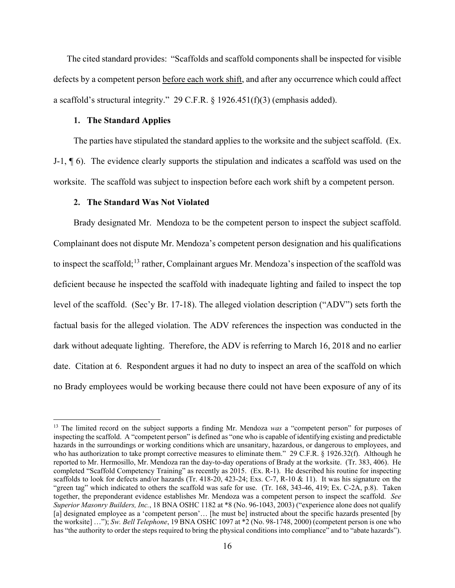The cited standard provides: "Scaffolds and scaffold components shall be inspected for visible defects by a competent person before each work shift, and after any occurrence which could affect a scaffold's structural integrity." 29 C.F.R. § 1926.451(f)(3) (emphasis added).

## **1. The Standard Applies**

The parties have stipulated the standard applies to the worksite and the subject scaffold. (Ex. J-1, ¶ 6). The evidence clearly supports the stipulation and indicates a scaffold was used on the worksite. The scaffold was subject to inspection before each work shift by a competent person.

### <span id="page-15-1"></span>**2. The Standard Was Not Violated**

Brady designated Mr. Mendoza to be the competent person to inspect the subject scaffold. Complainant does not dispute Mr. Mendoza's competent person designation and his qualifications to inspect the scaffold;<sup>[13](#page-15-0)</sup> rather, Complainant argues Mr. Mendoza's inspection of the scaffold was deficient because he inspected the scaffold with inadequate lighting and failed to inspect the top level of the scaffold. (Sec'y Br. 17-18). The alleged violation description ("ADV") sets forth the factual basis for the alleged violation. The ADV references the inspection was conducted in the dark without adequate lighting. Therefore, the ADV is referring to March 16, 2018 and no earlier date. Citation at 6. Respondent argues it had no duty to inspect an area of the scaffold on which no Brady employees would be working because there could not have been exposure of any of its

<span id="page-15-0"></span><sup>&</sup>lt;sup>13</sup> The limited record on the subject supports a finding Mr. Mendoza *was* a "competent person" for purposes of inspecting the scaffold. A "competent person" is defined as "one who is capable of identifying existing and predictable hazards in the surroundings or working conditions which are unsanitary, hazardous, or dangerous to employees, and who has authorization to take prompt corrective measures to eliminate them." 29 C.F.R. § 1926.32(f). Although he reported to Mr. Hermosillo, Mr. Mendoza ran the day-to-day operations of Brady at the worksite. (Tr. 383, 406). He completed "Scaffold Competency Training" as recently as 2015. (Ex. R-1). He described his routine for inspecting scaffolds to look for defects and/or hazards (Tr. 418-20, 423-24; Exs. C-7, R-10 & 11). It was his signature on the "green tag" which indicated to others the scaffold was safe for use. (Tr. 168, 343-46, 419; Ex. C-2A, p.8). Taken together, the preponderant evidence establishes Mr. Mendoza was a competent person to inspect the scaffold. *See Superior Masonry Builders, Inc.*, 18 BNA OSHC 1182 at \*8 (No. 96-1043, 2003) ("experience alone does not qualify [a] designated employee as a 'competent person'… [he must be] instructed about the specific hazards presented [by the worksite] …"); *Sw. Bell Telephone*, 19 BNA OSHC 1097 at \*2 (No. 98-1748, 2000) (competent person is one who has "the authority to order the steps required to bring the physical conditions into compliance" and to "abate hazards").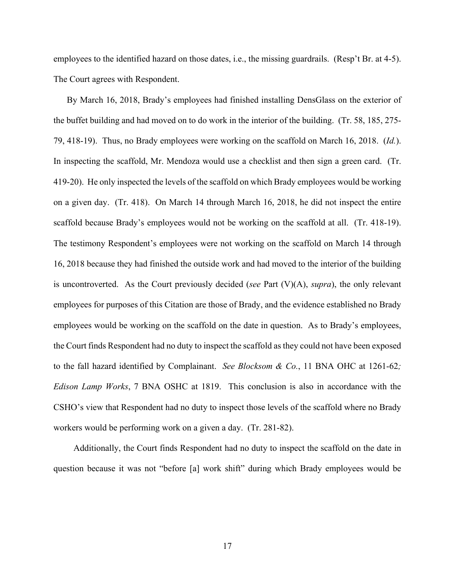employees to the identified hazard on those dates, i.e., the missing guardrails. (Resp't Br. at 4-5). The Court agrees with Respondent.

By March 16, 2018, Brady's employees had finished installing DensGlass on the exterior of the buffet building and had moved on to do work in the interior of the building. (Tr. 58, 185, 275- 79, 418-19). Thus, no Brady employees were working on the scaffold on March 16, 2018. (*Id.*). In inspecting the scaffold, Mr. Mendoza would use a checklist and then sign a green card. (Tr. 419-20). He only inspected the levels of the scaffold on which Brady employees would be working on a given day. (Tr. 418). On March 14 through March 16, 2018, he did not inspect the entire scaffold because Brady's employees would not be working on the scaffold at all. (Tr. 418-19). The testimony Respondent's employees were not working on the scaffold on March 14 through 16, 2018 because they had finished the outside work and had moved to the interior of the building is uncontroverted. As the Court previously decided (*see* Part (V)(A), *supra*), the only relevant employees for purposes of this Citation are those of Brady, and the evidence established no Brady employees would be working on the scaffold on the date in question. As to Brady's employees, the Court finds Respondent had no duty to inspect the scaffold as they could not have been exposed to the fall hazard identified by Complainant. *See Blocksom & Co.*, 11 BNA OHC at 1261-62*; Edison Lamp Works*, 7 BNA OSHC at 1819. This conclusion is also in accordance with the CSHO's view that Respondent had no duty to inspect those levels of the scaffold where no Brady workers would be performing work on a given a day. (Tr. 281-82).

Additionally, the Court finds Respondent had no duty to inspect the scaffold on the date in question because it was not "before [a] work shift" during which Brady employees would be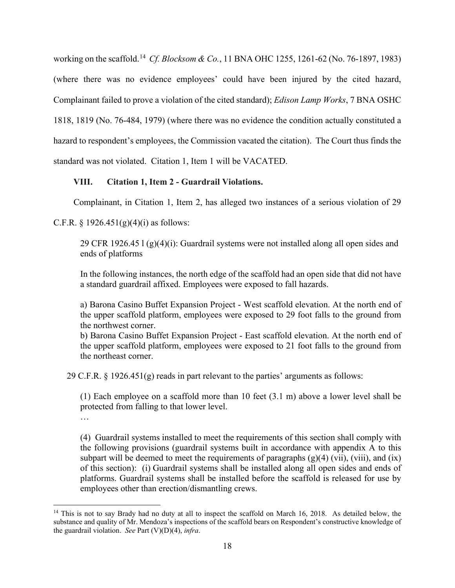working on the scaffold.[14](#page-17-0) *Cf. Blocksom & Co.*, 11 BNA OHC 1255, 1261-62 (No. 76-1897, 1983) (where there was no evidence employees' could have been injured by the cited hazard, Complainant failed to prove a violation of the cited standard); *Edison Lamp Works*, 7 BNA OSHC 1818, 1819 (No. 76-484, 1979) (where there was no evidence the condition actually constituted a hazard to respondent's employees, the Commission vacated the citation). The Court thus finds the standard was not violated. Citation 1, Item 1 will be VACATED.

# **VIII. Citation 1, Item 2 - Guardrail Violations.**

Complainant, in Citation 1, Item 2, has alleged two instances of a serious violation of 29

# C.F.R.  $\S 1926.451(g)(4)(i)$  as follows:

29 CFR 1926.45 l (g)(4)(i): Guardrail systems were not installed along all open sides and ends of platforms

In the following instances, the north edge of the scaffold had an open side that did not have a standard guardrail affixed. Employees were exposed to fall hazards.

a) Barona Casino Buffet Expansion Project - West scaffold elevation. At the north end of the upper scaffold platform, employees were exposed to 29 foot falls to the ground from the northwest corner.

b) Barona Casino Buffet Expansion Project - East scaffold elevation. At the north end of the upper scaffold platform, employees were exposed to 21 foot falls to the ground from the northeast corner.

29 C.F.R. § 1926.451(g) reads in part relevant to the parties' arguments as follows:

(1) Each employee on a scaffold more than 10 feet (3.1 m) above a lower level shall be protected from falling to that lower level.

…

(4) Guardrail systems installed to meet the requirements of this section shall comply with the following provisions (guardrail systems built in accordance with appendix A to this subpart will be deemed to meet the requirements of paragraphs  $(g)(4)$  (vii), (viii), and (ix) of this section): (i) Guardrail systems shall be installed along all open sides and ends of platforms. Guardrail systems shall be installed before the scaffold is released for use by employees other than erection/dismantling crews.

<span id="page-17-0"></span><sup>&</sup>lt;sup>14</sup> This is not to say Brady had no duty at all to inspect the scaffold on March 16, 2018. As detailed below, the substance and quality of Mr. Mendoza's inspections of the scaffold bears on Respondent's constructive knowledge of the guardrail violation. *See* Part (V)(D)(4), *infra*.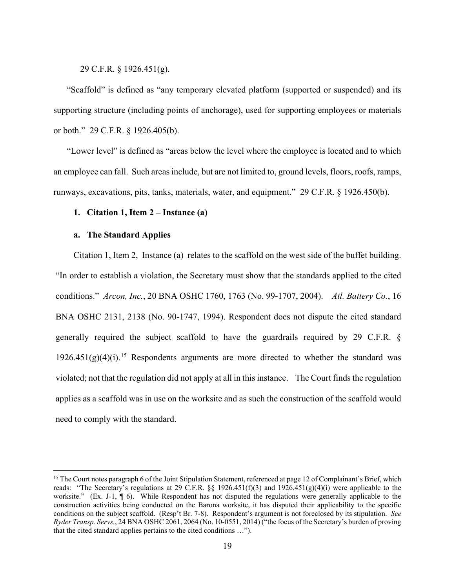29 C.F.R. § 1926.451(g).

"Scaffold" is defined as "any temporary elevated platform (supported or suspended) and its supporting structure (including points of anchorage), used for supporting employees or materials or both." 29 C.F.R. § 1926.405(b).

"Lower level" is defined as "areas below the level where the employee is located and to which an employee can fall. Such areas include, but are not limited to, ground levels, floors, roofs, ramps, runways, excavations, pits, tanks, materials, water, and equipment." 29 C.F.R. § 1926.450(b).

# **1. Citation 1, Item 2 – Instance (a)**

## **a. The Standard Applies**

Citation 1, Item 2, Instance (a) relates to the scaffold on the west side of the buffet building. "In order to establish a violation, the Secretary must show that the standards applied to the cited conditions." *Arcon, Inc.*, 20 BNA OSHC 1760, 1763 (No. 99-1707, 2004). *Atl. Battery Co.*, 16 BNA OSHC 2131, 2138 (No. 90-1747, 1994). Respondent does not dispute the cited standard generally required the subject scaffold to have the guardrails required by 29 C.F.R. §  $1926.451(g)(4)(i).$ <sup>[15](#page-18-0)</sup> Respondents arguments are more directed to whether the standard was violated; not that the regulation did not apply at all in this instance. The Court finds the regulation applies as a scaffold was in use on the worksite and as such the construction of the scaffold would need to comply with the standard.

<span id="page-18-0"></span><sup>&</sup>lt;sup>15</sup> The Court notes paragraph 6 of the Joint Stipulation Statement, referenced at page 12 of Complainant's Brief, which reads: "The Secretary's regulations at 29 C.F.R.  $\S$  1926.451(f)(3) and 1926.451(g)(4)(i) were applicable to the worksite." (Ex. J-1,  $\P$  6). While Respondent has not disputed the regulations were generally applicable to the construction activities being conducted on the Barona worksite, it has disputed their applicability to the specific conditions on the subject scaffold. (Resp't Br. 7-8). Respondent's argument is not foreclosed by its stipulation. *See Ryder Transp. Servs.*, 24 BNA OSHC 2061, 2064 (No. 10-0551, 2014) ("the focus of the Secretary's burden of proving that the cited standard applies pertains to the cited conditions …").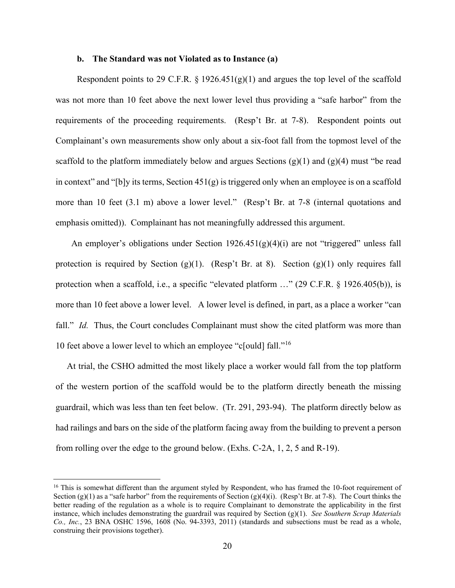### **b. The Standard was not Violated as to Instance (a)**

Respondent points to 29 C.F.R.  $\S$  1926.451(g)(1) and argues the top level of the scaffold was not more than 10 feet above the next lower level thus providing a "safe harbor" from the requirements of the proceeding requirements. (Resp't Br. at 7-8). Respondent points out Complainant's own measurements show only about a six-foot fall from the topmost level of the scaffold to the platform immediately below and argues Sections  $(g)(1)$  and  $(g)(4)$  must "be read in context" and "[b]y its terms, Section  $451(g)$  is triggered only when an employee is on a scaffold more than 10 feet (3.1 m) above a lower level." (Resp't Br. at 7-8 (internal quotations and emphasis omitted)). Complainant has not meaningfully addressed this argument.

An employer's obligations under Section 1926.451(g)(4)(i) are not "triggered" unless fall protection is required by Section  $(g)(1)$ . (Resp't Br. at 8). Section  $(g)(1)$  only requires fall protection when a scaffold, i.e., a specific "elevated platform …" (29 C.F.R. § 1926.405(b)), is more than 10 feet above a lower level. A lower level is defined, in part, as a place a worker "can fall." *Id.* Thus, the Court concludes Complainant must show the cited platform was more than 10 feet above a lower level to which an employee "c[ould] fall."[16](#page-19-0)

At trial, the CSHO admitted the most likely place a worker would fall from the top platform of the western portion of the scaffold would be to the platform directly beneath the missing guardrail, which was less than ten feet below. (Tr. 291, 293-94). The platform directly below as had railings and bars on the side of the platform facing away from the building to prevent a person from rolling over the edge to the ground below. (Exhs. C-2A, 1, 2, 5 and R-19).

<span id="page-19-0"></span><sup>&</sup>lt;sup>16</sup> This is somewhat different than the argument styled by Respondent, who has framed the 10-foot requirement of Section (g)(1) as a "safe harbor" from the requirements of Section (g)(4)(i). (Resp't Br. at 7-8). The Court thinks the better reading of the regulation as a whole is to require Complainant to demonstrate the applicability in the first instance, which includes demonstrating the guardrail was required by Section (g)(1). *See Southern Scrap Materials Co., Inc.*, 23 BNA OSHC 1596, 1608 (No. 94-3393, 2011) (standards and subsections must be read as a whole, construing their provisions together).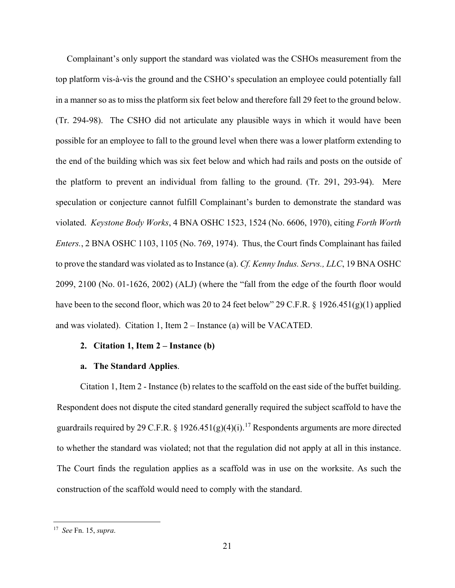Complainant's only support the standard was violated was the CSHOs measurement from the top platform vis-à-vis the ground and the CSHO's speculation an employee could potentially fall in a manner so as to miss the platform six feet below and therefore fall 29 feet to the ground below. (Tr. 294-98). The CSHO did not articulate any plausible ways in which it would have been possible for an employee to fall to the ground level when there was a lower platform extending to the end of the building which was six feet below and which had rails and posts on the outside of the platform to prevent an individual from falling to the ground. (Tr. 291, 293-94). Mere speculation or conjecture cannot fulfill Complainant's burden to demonstrate the standard was violated. *Keystone Body Works*, 4 BNA OSHC 1523, 1524 (No. 6606, 1970), citing *Forth Worth Enters.*, 2 BNA OSHC 1103, 1105 (No. 769, 1974). Thus, the Court finds Complainant has failed to prove the standard was violated as to Instance (a). *Cf. Kenny Indus. Servs., LLC*, 19 BNA OSHC 2099, 2100 (No. 01-1626, 2002) (ALJ) (where the "fall from the edge of the fourth floor would have been to the second floor, which was 20 to 24 feet below" 29 C.F.R. § 1926.451(g)(1) applied and was violated). Citation 1, Item 2 – Instance (a) will be VACATED.

## **2. Citation 1, Item 2 – Instance (b)**

### **a. The Standard Applies**.

Citation 1, Item 2 - Instance (b) relates to the scaffold on the east side of the buffet building. Respondent does not dispute the cited standard generally required the subject scaffold to have the guardrails required by 29 C.F.R. § 1926.451(g)(4)(i).<sup>[17](#page-20-0)</sup> Respondents arguments are more directed to whether the standard was violated; not that the regulation did not apply at all in this instance. The Court finds the regulation applies as a scaffold was in use on the worksite. As such the construction of the scaffold would need to comply with the standard.

<span id="page-20-0"></span><sup>17</sup> *See* Fn. 15, *supra*.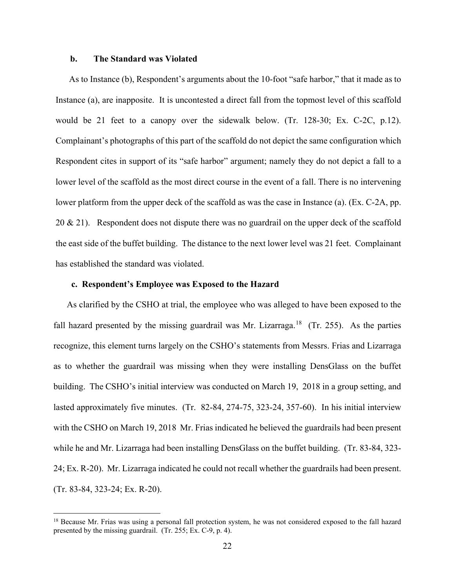### **b. The Standard was Violated**

As to Instance (b), Respondent's arguments about the 10-foot "safe harbor," that it made as to Instance (a), are inapposite. It is uncontested a direct fall from the topmost level of this scaffold would be 21 feet to a canopy over the sidewalk below. (Tr. 128-30; Ex. C-2C, p.12). Complainant's photographs of this part of the scaffold do not depict the same configuration which Respondent cites in support of its "safe harbor" argument; namely they do not depict a fall to a lower level of the scaffold as the most direct course in the event of a fall. There is no intervening lower platform from the upper deck of the scaffold as was the case in Instance (a). (Ex. C-2A, pp. 20  $\&$  21). Respondent does not dispute there was no guardrail on the upper deck of the scaffold the east side of the buffet building. The distance to the next lower level was 21 feet. Complainant has established the standard was violated.

# **c. Respondent's Employee was Exposed to the Hazard**

As clarified by the CSHO at trial, the employee who was alleged to have been exposed to the fall hazard presented by the missing guardrail was Mr. Lizarraga.<sup>[18](#page-21-0)</sup> (Tr. 255). As the parties recognize, this element turns largely on the CSHO's statements from Messrs. Frias and Lizarraga as to whether the guardrail was missing when they were installing DensGlass on the buffet building. The CSHO's initial interview was conducted on March 19, 2018 in a group setting, and lasted approximately five minutes. (Tr. 82-84, 274-75, 323-24, 357-60). In his initial interview with the CSHO on March 19, 2018 Mr. Frias indicated he believed the guardrails had been present while he and Mr. Lizarraga had been installing DensGlass on the buffet building. (Tr. 83-84, 323- 24; Ex. R-20). Mr. Lizarraga indicated he could not recall whether the guardrails had been present. (Tr. 83-84, 323-24; Ex. R-20).

<span id="page-21-0"></span><sup>&</sup>lt;sup>18</sup> Because Mr. Frias was using a personal fall protection system, he was not considered exposed to the fall hazard presented by the missing guardrail. (Tr. 255; Ex. C-9, p. 4).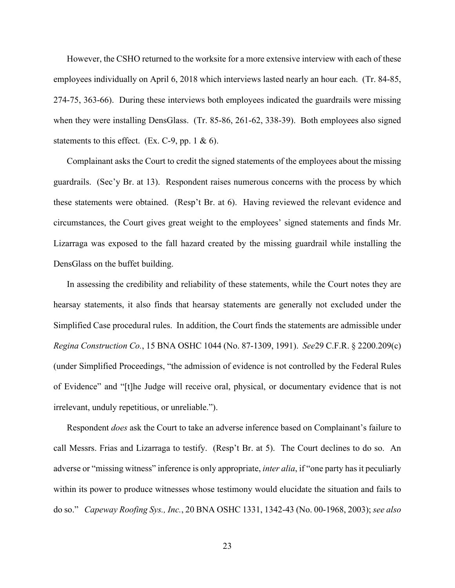However, the CSHO returned to the worksite for a more extensive interview with each of these employees individually on April 6, 2018 which interviews lasted nearly an hour each. (Tr. 84-85, 274-75, 363-66). During these interviews both employees indicated the guardrails were missing when they were installing DensGlass. (Tr. 85-86, 261-62, 338-39). Both employees also signed statements to this effect. (Ex. C-9, pp. 1  $\&$  6).

Complainant asks the Court to credit the signed statements of the employees about the missing guardrails. (Sec'y Br. at 13). Respondent raises numerous concerns with the process by which these statements were obtained. (Resp't Br. at 6). Having reviewed the relevant evidence and circumstances, the Court gives great weight to the employees' signed statements and finds Mr. Lizarraga was exposed to the fall hazard created by the missing guardrail while installing the DensGlass on the buffet building.

In assessing the credibility and reliability of these statements, while the Court notes they are hearsay statements, it also finds that hearsay statements are generally not excluded under the Simplified Case procedural rules. In addition, the Court finds the statements are admissible under *Regina Construction Co.*, 15 BNA OSHC 1044 (No. 87-1309, 1991). *See*29 C.F.R. § 2200.209(c) (under Simplified Proceedings, "the admission of evidence is not controlled by the Federal Rules of Evidence" and "[t]he Judge will receive oral, physical, or documentary evidence that is not irrelevant, unduly repetitious, or unreliable.").

Respondent *does* ask the Court to take an adverse inference based on Complainant's failure to call Messrs. Frias and Lizarraga to testify. (Resp't Br. at 5). The Court declines to do so. An adverse or "missing witness" inference is only appropriate, *inter alia*, if "one party has it peculiarly within its power to produce witnesses whose testimony would elucidate the situation and fails to do so." *Capeway Roofing Sys., Inc.*, 20 BNA OSHC 1331, 1342-43 (No. 00-1968, 2003); *see also*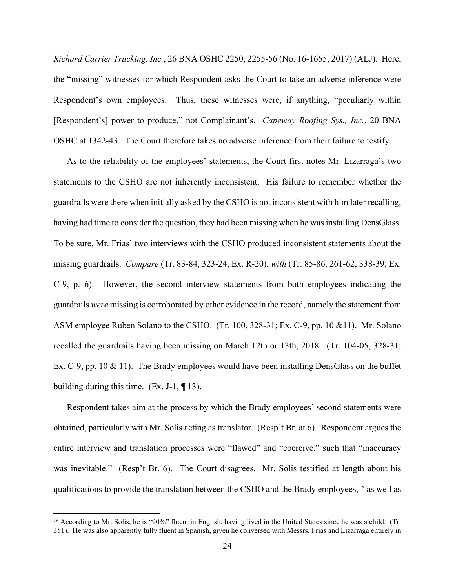*Richard Carrier Trucking, Inc.*, 26 BNA OSHC 2250, 2255-56 (No. 16-1655, 2017) (ALJ). Here, the "missing" witnesses for which Respondent asks the Court to take an adverse inference were Respondent's own employees. Thus, these witnesses were, if anything, "peculiarly within [Respondent's] power to produce," not Complainant's. *Capeway Roofing Sys., Inc.*, 20 BNA OSHC at 1342-43. The Court therefore takes no adverse inference from their failure to testify.

As to the reliability of the employees' statements, the Court first notes Mr. Lizarraga's two statements to the CSHO are not inherently inconsistent. His failure to remember whether the guardrails were there when initially asked by the CSHO is not inconsistent with him later recalling, having had time to consider the question, they had been missing when he was installing DensGlass. To be sure, Mr. Frias' two interviews with the CSHO produced inconsistent statements about the missing guardrails. *Compare* (Tr. 83-84, 323-24, Ex. R-20), *with* (Tr. 85-86, 261-62, 338-39; Ex. C-9, p. 6). However, the second interview statements from both employees indicating the guardrails *were* missing is corroborated by other evidence in the record, namely the statement from ASM employee Ruben Solano to the CSHO. (Tr. 100, 328-31; Ex. C-9, pp. 10 &11). Mr. Solano recalled the guardrails having been missing on March 12th or 13th, 2018. (Tr. 104-05, 328-31; Ex. C-9, pp. 10 & 11). The Brady employees would have been installing DensGlass on the buffet building during this time.  $(Ex. J-1, \P 13)$ .

Respondent takes aim at the process by which the Brady employees' second statements were obtained, particularly with Mr. Solis acting as translator. (Resp't Br. at 6). Respondent argues the entire interview and translation processes were "flawed" and "coercive," such that "inaccuracy was inevitable." (Resp't Br. 6). The Court disagrees. Mr. Solis testified at length about his qualifications to provide the translation between the CSHO and the Brady employees,<sup>[19](#page-23-0)</sup> as well as

<span id="page-23-0"></span><sup>&</sup>lt;sup>19</sup> According to Mr. Solis, he is "90%" fluent in English, having lived in the United States since he was a child. (Tr. 351). He was also apparently fully fluent in Spanish, given he conversed with Messrs. Frias and Lizarraga entirely in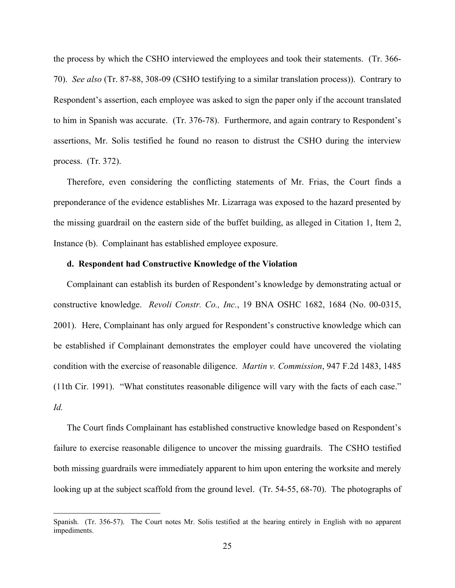the process by which the CSHO interviewed the employees and took their statements. (Tr. 366- 70). *See also* (Tr. 87-88, 308-09 (CSHO testifying to a similar translation process)). Contrary to Respondent's assertion, each employee was asked to sign the paper only if the account translated to him in Spanish was accurate. (Tr. 376-78). Furthermore, and again contrary to Respondent's assertions, Mr. Solis testified he found no reason to distrust the CSHO during the interview process. (Tr. 372).

Therefore, even considering the conflicting statements of Mr. Frias, the Court finds a preponderance of the evidence establishes Mr. Lizarraga was exposed to the hazard presented by the missing guardrail on the eastern side of the buffet building, as alleged in Citation 1, Item 2, Instance (b). Complainant has established employee exposure.

### **d. Respondent had Constructive Knowledge of the Violation**

Complainant can establish its burden of Respondent's knowledge by demonstrating actual or constructive knowledge. *Revoli Constr. Co., Inc.*, 19 BNA OSHC 1682, 1684 (No. 00-0315, 2001). Here, Complainant has only argued for Respondent's constructive knowledge which can be established if Complainant demonstrates the employer could have uncovered the violating condition with the exercise of reasonable diligence. *Martin v. Commission*, 947 F.2d 1483, 1485 (11th Cir. 1991). "What constitutes reasonable diligence will vary with the facts of each case." *Id.*

The Court finds Complainant has established constructive knowledge based on Respondent's failure to exercise reasonable diligence to uncover the missing guardrails. The CSHO testified both missing guardrails were immediately apparent to him upon entering the worksite and merely looking up at the subject scaffold from the ground level. (Tr. 54-55, 68-70). The photographs of

Spanish. (Tr. 356-57). The Court notes Mr. Solis testified at the hearing entirely in English with no apparent impediments.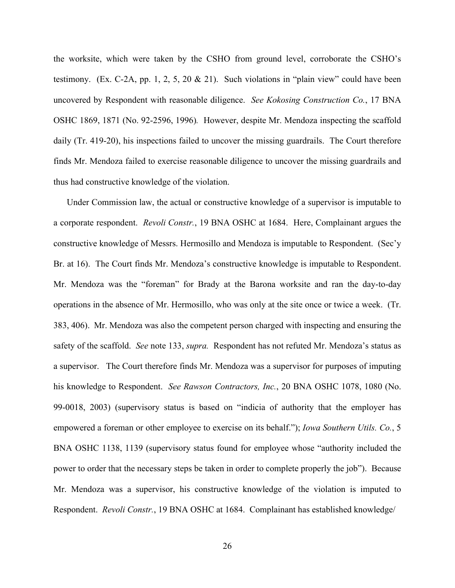the worksite, which were taken by the CSHO from ground level, corroborate the CSHO's testimony. (Ex. C-2A, pp. 1, 2, 5, 20 & 21). Such violations in "plain view" could have been uncovered by Respondent with reasonable diligence. *See Kokosing Construction Co.*, 17 BNA OSHC 1869, 1871 (No. 92-2596, 1996)*.* However, despite Mr. Mendoza inspecting the scaffold daily (Tr. 419-20), his inspections failed to uncover the missing guardrails. The Court therefore finds Mr. Mendoza failed to exercise reasonable diligence to uncover the missing guardrails and thus had constructive knowledge of the violation.

Under Commission law, the actual or constructive knowledge of a supervisor is imputable to a corporate respondent. *Revoli Constr.*, 19 BNA OSHC at 1684. Here, Complainant argues the constructive knowledge of Messrs. Hermosillo and Mendoza is imputable to Respondent. (Sec'y Br. at 16). The Court finds Mr. Mendoza's constructive knowledge is imputable to Respondent. Mr. Mendoza was the "foreman" for Brady at the Barona worksite and ran the day-to-day operations in the absence of Mr. Hermosillo, who was only at the site once or twice a week. (Tr. 383, 406). Mr. Mendoza was also the competent person charged with inspecting and ensuring the safety of the scaffold. *See* note [133](#page-15-1), *supra.* Respondent has not refuted Mr. Mendoza's status as a supervisor. The Court therefore finds Mr. Mendoza was a supervisor for purposes of imputing his knowledge to Respondent. *See Rawson Contractors, Inc.*, 20 BNA OSHC 1078, 1080 (No. 99-0018, 2003) (supervisory status is based on "indicia of authority that the employer has empowered a foreman or other employee to exercise on its behalf."); *Iowa Southern Utils. Co.*, 5 BNA OSHC 1138, 1139 (supervisory status found for employee whose "authority included the power to order that the necessary steps be taken in order to complete properly the job"). Because Mr. Mendoza was a supervisor, his constructive knowledge of the violation is imputed to Respondent. *Revoli Constr.*, 19 BNA OSHC at 1684. Complainant has established knowledge/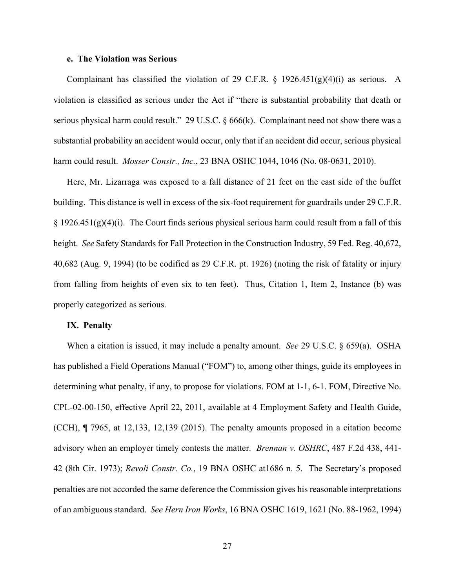#### **e. The Violation was Serious**

Complainant has classified the violation of 29 C.F.R.  $\S$  1926.451(g)(4)(i) as serious. A violation is classified as serious under the Act if "there is substantial probability that death or serious physical harm could result." 29 U.S.C. § 666(k). Complainant need not show there was a substantial probability an accident would occur, only that if an accident did occur, serious physical harm could result. *Mosser Constr., Inc.*, 23 BNA OSHC 1044, 1046 (No. 08-0631, 2010).

Here, Mr. Lizarraga was exposed to a fall distance of 21 feet on the east side of the buffet building. This distance is well in excess of the six-foot requirement for guardrails under 29 C.F.R.  $\S$  1926.451(g)(4)(i). The Court finds serious physical serious harm could result from a fall of this height. *See* Safety Standards for Fall Protection in the Construction Industry, 59 Fed. Reg. 40,672, 40,682 (Aug. 9, 1994) (to be codified as 29 C.F.R. pt. 1926) (noting the risk of fatality or injury from falling from heights of even six to ten feet). Thus, Citation 1, Item 2, Instance (b) was properly categorized as serious.

### **IX. Penalty**

When a citation is issued, it may include a penalty amount. *See* 29 U.S.C. § 659(a). OSHA has published a Field Operations Manual ("FOM") to, among other things, guide its employees in determining what penalty, if any, to propose for violations. FOM at 1-1, 6-1. FOM, Directive No. CPL-02-00-150, effective April 22, 2011, available at 4 Employment Safety and Health Guide, (CCH), ¶ 7965, at 12,133, 12,139 (2015). The penalty amounts proposed in a citation become advisory when an employer timely contests the matter. *Brennan v. OSHRC*, 487 F.2d 438, 441- 42 (8th Cir. 1973); *Revoli Constr. Co.*, 19 BNA OSHC at1686 n. 5. The Secretary's proposed penalties are not accorded the same deference the Commission gives his reasonable interpretations of an ambiguous standard. *See Hern Iron Works*, 16 BNA OSHC 1619, 1621 (No. 88-1962, 1994)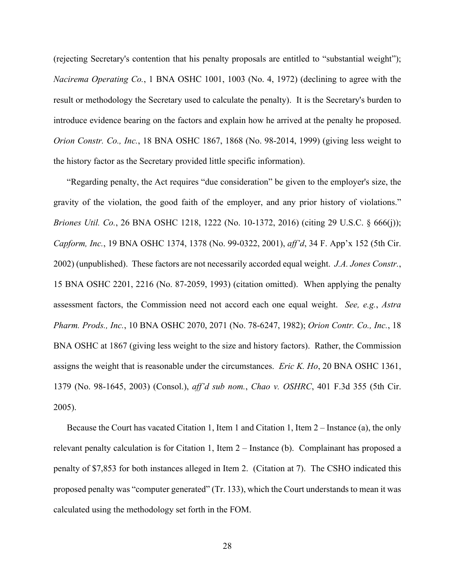(rejecting Secretary's contention that his penalty proposals are entitled to "substantial weight"); *Nacirema Operating Co.*, 1 BNA OSHC 1001, 1003 (No. 4, 1972) (declining to agree with the result or methodology the Secretary used to calculate the penalty). It is the Secretary's burden to introduce evidence bearing on the factors and explain how he arrived at the penalty he proposed. *Orion Constr. Co., Inc.*, 18 BNA OSHC 1867, 1868 (No. 98-2014, 1999) (giving less weight to the history factor as the Secretary provided little specific information).

"Regarding penalty, the Act requires "due consideration" be given to the employer's size, the gravity of the violation, the good faith of the employer, and any prior history of violations." *Briones Util. Co.*, 26 BNA OSHC 1218, 1222 (No. 10-1372, 2016) (citing 29 U.S.C. § 666(j)); *Capform, Inc.*, 19 BNA OSHC 1374, 1378 (No. 99-0322, 2001), *aff'd*, 34 F. App'x 152 (5th Cir. 2002) (unpublished). These factors are not necessarily accorded equal weight. *J.A. Jones Constr.*, 15 BNA OSHC 2201, 2216 (No. 87-2059, 1993) (citation omitted). When applying the penalty assessment factors, the Commission need not accord each one equal weight. *See, e.g.*, *Astra Pharm. Prods., Inc.*, 10 BNA OSHC 2070, 2071 (No. 78-6247, 1982); *Orion Contr. Co., Inc.*, 18 BNA OSHC at 1867 (giving less weight to the size and history factors). Rather, the Commission assigns the weight that is reasonable under the circumstances. *Eric K. Ho*, 20 BNA OSHC 1361, 1379 (No. 98-1645, 2003) (Consol.), *aff'd sub nom.*, *Chao v. OSHRC*, 401 F.3d 355 (5th Cir. 2005).

Because the Court has vacated Citation 1, Item 1 and Citation 1, Item 2 – Instance (a), the only relevant penalty calculation is for Citation 1, Item 2 – Instance (b). Complainant has proposed a penalty of \$7,853 for both instances alleged in Item 2. (Citation at 7). The CSHO indicated this proposed penalty was "computer generated" (Tr. 133), which the Court understands to mean it was calculated using the methodology set forth in the FOM.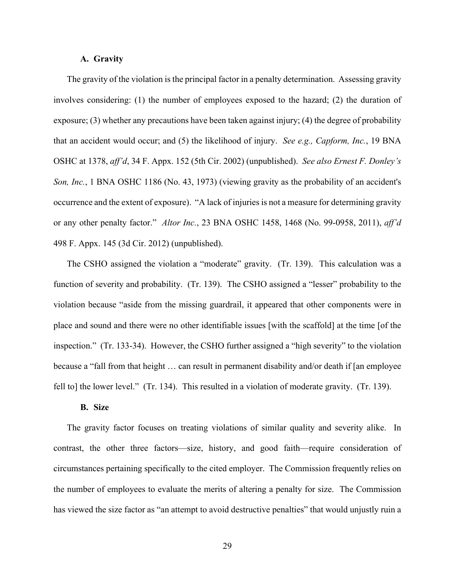### **A. Gravity**

The gravity of the violation is the principal factor in a penalty determination. Assessing gravity involves considering: (1) the number of employees exposed to the hazard; (2) the duration of exposure; (3) whether any precautions have been taken against injury; (4) the degree of probability that an accident would occur; and (5) the likelihood of injury. *See e.g., Capform, Inc.*, 19 BNA OSHC at 1378, *aff'd*, 34 F. Appx. 152 (5th Cir. 2002) (unpublished). *See also Ernest F. Donley's Son, Inc.*, 1 BNA OSHC 1186 (No. 43, 1973) (viewing gravity as the probability of an accident's occurrence and the extent of exposure). "A lack of injuries is not a measure for determining gravity or any other penalty factor." *Altor Inc.*, 23 BNA OSHC 1458, 1468 (No. 99-0958, 2011), *aff'd*  498 F. Appx. 145 (3d Cir. 2012) (unpublished).

The CSHO assigned the violation a "moderate" gravity. (Tr. 139). This calculation was a function of severity and probability. (Tr. 139). The CSHO assigned a "lesser" probability to the violation because "aside from the missing guardrail, it appeared that other components were in place and sound and there were no other identifiable issues [with the scaffold] at the time [of the inspection." (Tr. 133-34). However, the CSHO further assigned a "high severity" to the violation because a "fall from that height … can result in permanent disability and/or death if [an employee fell to] the lower level." (Tr. 134). This resulted in a violation of moderate gravity. (Tr. 139).

### **B. Size**

The gravity factor focuses on treating violations of similar quality and severity alike. In contrast, the other three factors—size, history, and good faith—require consideration of circumstances pertaining specifically to the cited employer. The Commission frequently relies on the number of employees to evaluate the merits of altering a penalty for size. The Commission has viewed the size factor as "an attempt to avoid destructive penalties" that would unjustly ruin a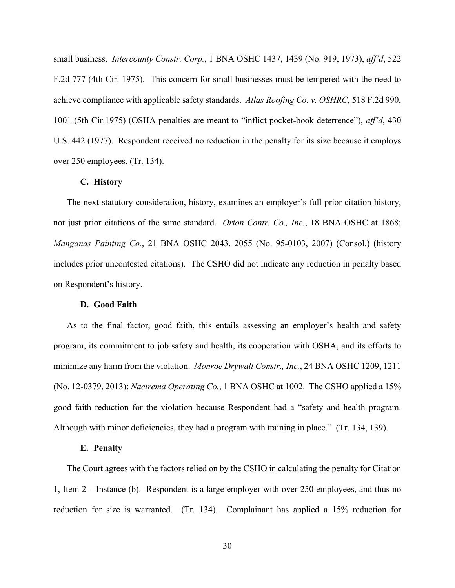small business. *Intercounty Constr. Corp.*, 1 BNA OSHC 1437, 1439 (No. 919, 1973), *aff'd*, 522 F.2d 777 (4th Cir. 1975). This concern for small businesses must be tempered with the need to achieve compliance with applicable safety standards. *Atlas Roofing Co. v. OSHRC*, 518 F.2d 990, 1001 (5th Cir.1975) (OSHA penalties are meant to "inflict pocket-book deterrence"), *aff'd*, 430 U.S. 442 (1977). Respondent received no reduction in the penalty for its size because it employs over 250 employees. (Tr. 134).

## **C. History**

The next statutory consideration, history, examines an employer's full prior citation history, not just prior citations of the same standard. *Orion Contr. Co., Inc.*, 18 BNA OSHC at 1868; *Manganas Painting Co.*, 21 BNA OSHC 2043, 2055 (No. 95-0103, 2007) (Consol.) (history includes prior uncontested citations). The CSHO did not indicate any reduction in penalty based on Respondent's history.

### **D. Good Faith**

As to the final factor, good faith, this entails assessing an employer's health and safety program, its commitment to job safety and health, its cooperation with OSHA, and its efforts to minimize any harm from the violation. *Monroe Drywall Constr., Inc.*, 24 BNA OSHC 1209, 1211 (No. 12-0379, 2013); *Nacirema Operating Co.*, 1 BNA OSHC at 1002. The CSHO applied a 15% good faith reduction for the violation because Respondent had a "safety and health program. Although with minor deficiencies, they had a program with training in place." (Tr. 134, 139).

#### **E. Penalty**

The Court agrees with the factors relied on by the CSHO in calculating the penalty for Citation 1, Item 2 – Instance (b). Respondent is a large employer with over 250 employees, and thus no reduction for size is warranted. (Tr. 134). Complainant has applied a 15% reduction for